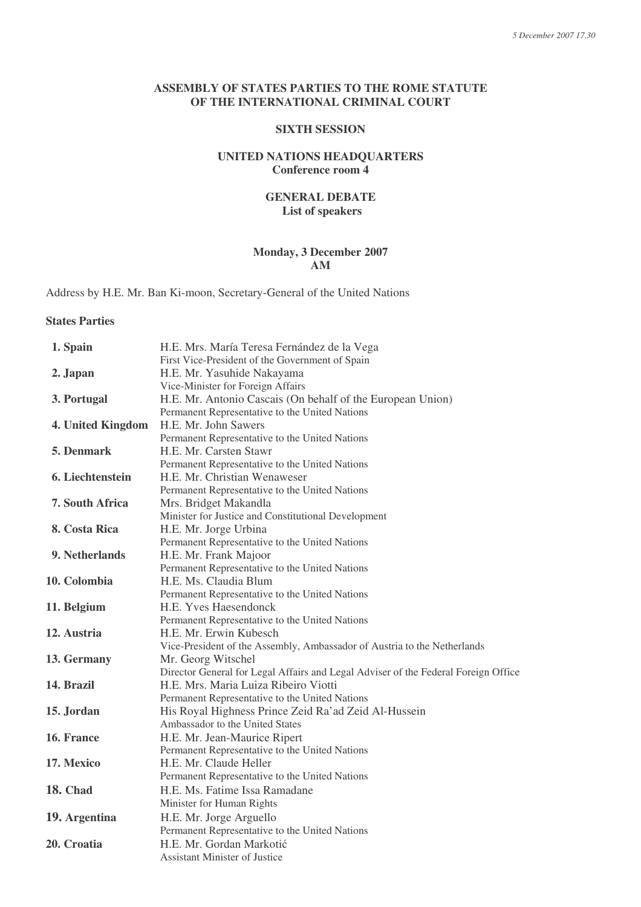#### **ASSEMBLY OF STATES PARTIES TO THE ROME STATUTE OF THE INTERNATIONAL CRIMINAL COURT**

### **SIXTH SESSION**

### **UNITED NATIONS HEADQUARTERS Conference room 4**

### **GENERAL DEBATE List of speakers**

### **Monday, 3 December 2007 AM**

Address by H.E. Mr. Ban Ki-moon, Secretary-General of the United Nations

# **States Parties**

| 1. Spain          | H.E. Mrs. María Teresa Fernández de la Vega                                        |
|-------------------|------------------------------------------------------------------------------------|
| 2. Japan          | First Vice-President of the Government of Spain<br>H.E. Mr. Yasuhide Nakayama      |
|                   | Vice-Minister for Foreign Affairs                                                  |
| 3. Portugal       | H.E. Mr. Antonio Cascais (On behalf of the European Union)                         |
|                   | Permanent Representative to the United Nations                                     |
| 4. United Kingdom | H.E. Mr. John Sawers                                                               |
|                   | Permanent Representative to the United Nations                                     |
| 5. Denmark        | H.E. Mr. Carsten Stawr                                                             |
|                   | Permanent Representative to the United Nations                                     |
| 6. Liechtenstein  | H.E. Mr. Christian Wenaweser                                                       |
|                   | Permanent Representative to the United Nations                                     |
| 7. South Africa   | Mrs. Bridget Makandla                                                              |
|                   | Minister for Justice and Constitutional Development                                |
| 8. Costa Rica     | H.E. Mr. Jorge Urbina                                                              |
|                   | Permanent Representative to the United Nations                                     |
| 9. Netherlands    | H.E. Mr. Frank Majoor                                                              |
|                   | Permanent Representative to the United Nations                                     |
| 10. Colombia      | H.E. Ms. Claudia Blum                                                              |
|                   | Permanent Representative to the United Nations                                     |
| 11. Belgium       | H.E. Yves Haesendonck                                                              |
|                   | Permanent Representative to the United Nations                                     |
| 12. Austria       | H.E. Mr. Erwin Kubesch                                                             |
|                   | Vice-President of the Assembly, Ambassador of Austria to the Netherlands           |
| 13. Germany       | Mr. Georg Witschel                                                                 |
|                   | Director General for Legal Affairs and Legal Adviser of the Federal Foreign Office |
| 14. Brazil        | H.E. Mrs. Maria Luiza Ribeiro Viotti                                               |
|                   | Permanent Representative to the United Nations                                     |
| 15. Jordan        | His Royal Highness Prince Zeid Ra'ad Zeid Al-Hussein                               |
|                   | Ambassador to the United States                                                    |
| 16. France        | H.E. Mr. Jean-Maurice Ripert                                                       |
|                   | Permanent Representative to the United Nations                                     |
| 17. Mexico        | H.E. Mr. Claude Heller                                                             |
|                   | Permanent Representative to the United Nations                                     |
| <b>18. Chad</b>   | H.E. Ms. Fatime Issa Ramadane                                                      |
|                   | Minister for Human Rights                                                          |
| 19. Argentina     | H.E. Mr. Jorge Arguello                                                            |
|                   | Permanent Representative to the United Nations                                     |
| 20. Croatia       | H.E. Mr. Gordan Markotić                                                           |
|                   | <b>Assistant Minister of Justice</b>                                               |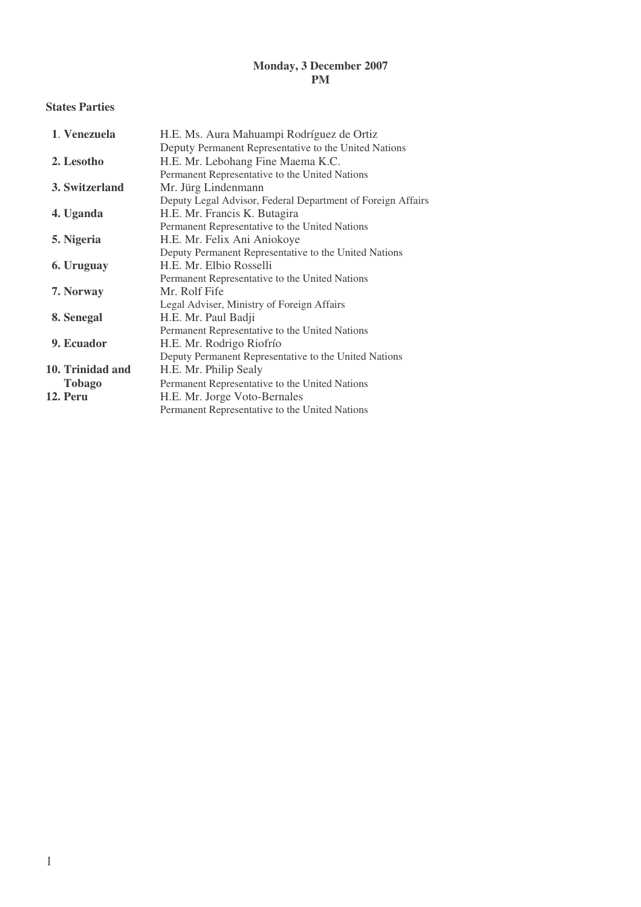## **Monday, 3 December 2007 PM**

### **States Parties**

| 1. Venezuela     | H.E. Ms. Aura Mahuampi Rodríguez de Ortiz                   |
|------------------|-------------------------------------------------------------|
|                  | Deputy Permanent Representative to the United Nations       |
| 2. Lesotho       | H.E. Mr. Lebohang Fine Maema K.C.                           |
|                  | Permanent Representative to the United Nations              |
| 3. Switzerland   | Mr. Jürg Lindenmann                                         |
|                  | Deputy Legal Advisor, Federal Department of Foreign Affairs |
| 4. Uganda        | H.E. Mr. Francis K. Butagira                                |
|                  | Permanent Representative to the United Nations              |
| 5. Nigeria       | H.E. Mr. Felix Ani Aniokoye                                 |
|                  | Deputy Permanent Representative to the United Nations       |
| 6. Uruguay       | H.E. Mr. Elbio Rosselli                                     |
|                  | Permanent Representative to the United Nations              |
| 7. Norway        | Mr. Rolf Fife                                               |
|                  | Legal Adviser, Ministry of Foreign Affairs                  |
| 8. Senegal       | H.E. Mr. Paul Badji                                         |
|                  | Permanent Representative to the United Nations              |
| 9. Ecuador       | H.E. Mr. Rodrigo Riofrío                                    |
|                  | Deputy Permanent Representative to the United Nations       |
| 10. Trinidad and | H.E. Mr. Philip Sealy                                       |
| <b>Tobago</b>    | Permanent Representative to the United Nations              |
| 12. Peru         | H.E. Mr. Jorge Voto-Bernales                                |
|                  | Permanent Representative to the United Nations              |